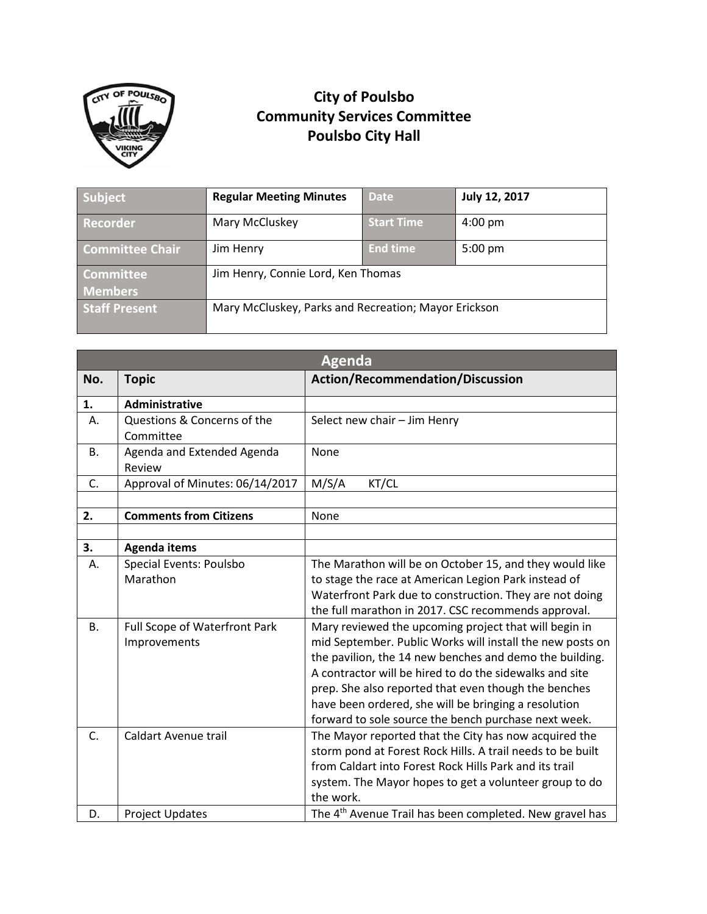

## **City of Poulsbo Community Services Committee Poulsbo City Hall**

| Subject                | <b>Regular Meeting Minutes</b>                       | <b>Date</b>       | July 12, 2017     |
|------------------------|------------------------------------------------------|-------------------|-------------------|
| <b>Recorder</b>        | Mary McCluskey                                       | <b>Start Time</b> | $4:00 \text{ pm}$ |
| <b>Committee Chair</b> | Jim Henry                                            | <b>End time</b>   | $5:00 \text{ pm}$ |
| <b>Committee</b>       | Jim Henry, Connie Lord, Ken Thomas                   |                   |                   |
| <b>Members</b>         |                                                      |                   |                   |
| <b>Staff Present</b>   | Mary McCluskey, Parks and Recreation; Mayor Erickson |                   |                   |

| <b>Agenda</b> |                                          |                                                                     |  |  |
|---------------|------------------------------------------|---------------------------------------------------------------------|--|--|
| No.           | <b>Topic</b>                             | <b>Action/Recommendation/Discussion</b>                             |  |  |
| 1.            | <b>Administrative</b>                    |                                                                     |  |  |
| А.            | Questions & Concerns of the<br>Committee | Select new chair - Jim Henry                                        |  |  |
| В.            | Agenda and Extended Agenda<br>Review     | None                                                                |  |  |
| C.            | Approval of Minutes: 06/14/2017          | M/S/A<br>KT/CL                                                      |  |  |
|               |                                          |                                                                     |  |  |
| 2.            | <b>Comments from Citizens</b>            | None                                                                |  |  |
|               |                                          |                                                                     |  |  |
| 3.            | <b>Agenda items</b>                      |                                                                     |  |  |
| Α.            | Special Events: Poulsbo                  | The Marathon will be on October 15, and they would like             |  |  |
|               | Marathon                                 | to stage the race at American Legion Park instead of                |  |  |
|               |                                          | Waterfront Park due to construction. They are not doing             |  |  |
|               |                                          | the full marathon in 2017. CSC recommends approval.                 |  |  |
| <b>B.</b>     | Full Scope of Waterfront Park            | Mary reviewed the upcoming project that will begin in               |  |  |
|               | Improvements                             | mid September. Public Works will install the new posts on           |  |  |
|               |                                          | the pavilion, the 14 new benches and demo the building.             |  |  |
|               |                                          | A contractor will be hired to do the sidewalks and site             |  |  |
|               |                                          | prep. She also reported that even though the benches                |  |  |
|               |                                          | have been ordered, she will be bringing a resolution                |  |  |
|               |                                          | forward to sole source the bench purchase next week.                |  |  |
| C.            | Caldart Avenue trail                     | The Mayor reported that the City has now acquired the               |  |  |
|               |                                          | storm pond at Forest Rock Hills. A trail needs to be built          |  |  |
|               |                                          | from Caldart into Forest Rock Hills Park and its trail              |  |  |
|               |                                          | system. The Mayor hopes to get a volunteer group to do<br>the work. |  |  |
| D.            | <b>Project Updates</b>                   | The 4 <sup>th</sup> Avenue Trail has been completed. New gravel has |  |  |